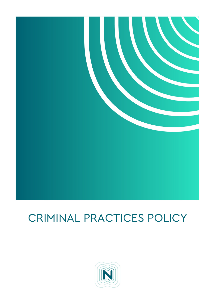

# CRIMINAL PRACTICES POLICY

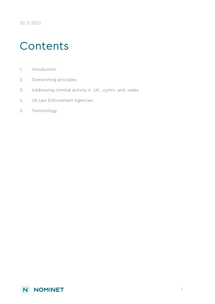# **Contents**

- [1. Introduction](#page-2-0)
- [2. Overarching principles](#page-2-1)
- [3. Addressing criminal activity in .UK, .cymru and .wales](#page-3-0)
- [4. UK Law Enforcement Agencies](#page-4-0)
- [5. Terminology](#page-7-0)

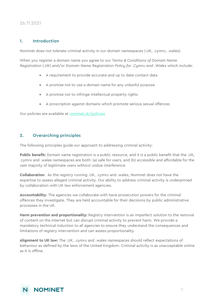26.11.2021

#### <span id="page-2-0"></span>1. Introduction

Nominet does not tolerate criminal activity in our domain namespaces (.UK, .cymru, .wales).

When you register a domain name you agree to our *Terms & Conditions of Domain Name Registration* (.UK) and/or *Domain Name Registration Policy for .Cymru and .Wales* which include:

- A requirement to provide accurate and up to date contact data
- A promise not to use a domain name for any unlawful purpose
- A promise not to infringe intellectual property rights
- A proscription against domains which promote serious sexual offences

Our policies are available at [nominet.uk/policies](https://nominetuk.sharepoint.com/sites/sp-dept-registry-ukpse/Shared%20Documents/Current%20.UK%20Policies/Update%20in%20progress/nominet.uk/policies) 

#### <span id="page-2-1"></span>2. Overarching principles

The following principles guide our approach to addressing criminal activity:

**Public benefit:** Domain name registration is a public resource, and it is a public benefit that the .UK, .cymru and .wales namespaces are both: (a) safe for users, and (b) accessible and affordable for the vast majority of legitimate users without undue interference.

**Collaboration**: As the registry running .UK, .cymru and .wales, Nominet does not have the expertise to assess alleged criminal activity. Our ability to address criminal activity is underpinned by collaboration with UK law enforcement agencies.

**Accountability**: The agencies we collaborate with have prosecution powers for the criminal offences they investigate. They are held accountable for their decisions by public administrative processes in the UK.

**Harm prevention and proportionality:** Registry intervention is an imperfect solution to the removal of content on the internet but can disrupt criminal activity to prevent harm. We provide a mandatory technical induction to all agencies to ensure they understand the consequences and limitations of registry intervention and can assess proportionality.

**Alignment to UK law:** The .UK, .cymru and .wales namespaces should reflect expectations of behaviour as defined by the laws of the United Kingdom. Criminal activity is as unacceptable online as it is offline.

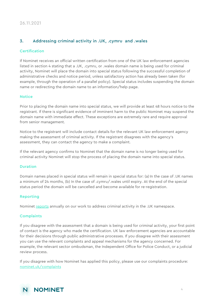### <span id="page-3-0"></span>3. Addressing criminal activity in .UK, .cymru and .wales

#### Certification

If Nominet receives an official written certification from one of the UK law enforcement agencies listed in section 4 stating that a .UK, .cymru, or .wales domain name is being used for criminal activity, Nominet will place the domain into special status following the successful completion of administrative checks and notice period, unless satisfactory action has already been taken (for example, through the operation of a parallel policy). Special status includes suspending the domain name or redirecting the domain name to an information/help page.

#### **Notice**

Prior to placing the domain name into special status, we will provide at least 48 hours notice to the registrant. If there is significant evidence of imminent harm to the public Nominet may suspend the domain name with immediate effect. These exceptions are extremely rare and require approval from senior management.

Notice to the registrant will include contact details for the relevant UK law enforcement agency making the assessment of criminal activity. If the registrant disagrees with the agency's assessment, they can contact the agency to make a complaint.

If the relevant agency confirms to Nominet that the domain name is no longer being used for criminal activity Nominet will stop the process of placing the domain name into special status.

#### Duration

Domain names placed in special status will remain in special status for: (a)In the case of .UK names a minimum of 24 months, (b) In the case of .cymru/.wales until expiry. At the end of the special status period the domain will be cancelled and become available for re-registration.

#### Reporting

Nominet [reports](https://www.nominet.uk/reports) annually on our work to address criminal activity in the .UK namespace.

#### **Complaints**

If you disagree with the assessment that a domain is being used for criminal activity, your first point of contact is the agency who made the certification. UK law enforcement agencies are accountable for their decisions through public administrative processes. If you disagree with their assessment you can use the relevant complaints and appeal mechanisms for the agency concerned. For example, the relevant sector ombudsman, the Independent Office for Police Conduct, or a judicial review process.

If you disagree with how Nominet has applied this policy, please use our complaints procedure: [nominet.uk/complaints](https://www.nominet.uk/complaints/)

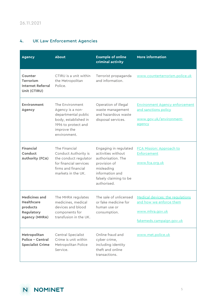## <span id="page-4-0"></span>4. UK Law Enforcement Agencies

| <b>Agency</b>                                                                               | About                                                                                                                                    | <b>Example of online</b><br>criminal activity                                                                                                               | <b>More information</b>                                                                                    |
|---------------------------------------------------------------------------------------------|------------------------------------------------------------------------------------------------------------------------------------------|-------------------------------------------------------------------------------------------------------------------------------------------------------------|------------------------------------------------------------------------------------------------------------|
| Counter<br><b>Terrorism</b><br><b>Internet Referral</b><br>Unit (CTIRU)                     | CTIRU is a unit within<br>the Metropolitan<br>Police.                                                                                    | Terrorist propaganda<br>and information.                                                                                                                    | www.counterterrorism.police.uk                                                                             |
| <b>Environment</b><br><b>Agency</b>                                                         | The Environment<br>Agency is a non-<br>departmental public<br>body, established in<br>1996 to protect and<br>improve the<br>environment. | Operation of illegal<br>waste management<br>and hazardous waste<br>disposal services.                                                                       | <b>Environment Agency enforcement</b><br>and sanctions policy<br>www.gov.uk/environment-<br>agency         |
| <b>Financial</b><br>Conduct<br><b>Authority (FCA)</b>                                       | The Financial<br>Conduct Authority is<br>the conduct regulator<br>for financial services<br>firms and financial<br>markets in the UK.    | Engaging in regulated<br>activities without<br>authorisation. The<br>provision of<br>misleading<br>information and<br>falsely claiming to be<br>authorised. | <b>FCA Mission: Approach to</b><br>Enforcement<br>www.fca.org.uk                                           |
| <b>Medicines and</b><br><b>Healthcare</b><br>products<br>Regulatory<br><b>Agency (MHRA)</b> | The MHRA regulates<br>medicines, medical<br>devices and blood<br>components for<br>transfusion in the UK.                                | The sale of unlicensed<br>or fake medicine for<br>human use or<br>consumption.                                                                              | Medical devices: the regulations<br>and how we enforce them<br>www.mhra.gov.uk<br>fakemeds.campaign.gov.uk |
| Metropolitan<br><b>Police - Central</b><br><b>Specialist Crime</b>                          | Central Specialist<br>Crime is unit within<br>Metropolitan Police<br>Service.                                                            | Online fraud and<br>cyber crime,<br>including identity<br>theft and online<br>transactions.                                                                 | www.met.police.uk                                                                                          |

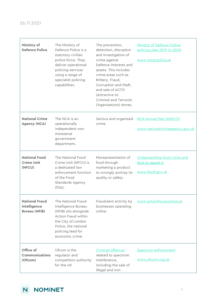F

| Ministry of<br><b>Defence Police</b>                          | The Ministry of<br>Defence Police is a<br>statutory civilian<br>police force. They<br>deliver operational<br>policing services<br>using a range of<br>specialist policing<br>capabilities. | The prevention,<br>detection, disruption<br>and investigation of<br>crime against<br>Defence interests and<br>assets. This includes<br>crime areas such as<br>Bribery, Fraud,<br>Corruption and theft,<br>and sale of ACTO<br>(Attractive to<br>Criminal and Terrorist<br>Organisations) stores. | Ministry of Defence Police:<br>policing plan 2019 to 2020<br>www.mod.police.uk |
|---------------------------------------------------------------|--------------------------------------------------------------------------------------------------------------------------------------------------------------------------------------------|--------------------------------------------------------------------------------------------------------------------------------------------------------------------------------------------------------------------------------------------------------------------------------------------------|--------------------------------------------------------------------------------|
| <b>National Crime</b><br><b>Agency (NCA)</b>                  | The NCA is an<br>operationally<br>independent non-<br>ministerial<br>government<br>department.                                                                                             | Serious and organised<br>crime.                                                                                                                                                                                                                                                                  | NCA Annual Plan 2020/21<br>www.nationalcrimeagency.gov.uk                      |
| <b>National Food</b><br><b>Crime Unit</b><br>(NFCU)           | The National Food<br>Crime Unit (NFCU) is<br>a dedicated law<br>enforcement function<br>of the Food<br>Standards Agency<br>(FSA).                                                          | Misrepresentation of<br>food through<br>marketing a product<br>to wrongly portray its<br>quality or safety.                                                                                                                                                                                      | Understanding food crime and<br>how to report it<br>www.food.gov.uk            |
| <b>National Fraud</b><br>Intelligence<br><b>Bureau (NFIB)</b> | The National Fraud<br>Intelligence Bureau<br>(NFIB) sits alongside<br>Action Fraud within<br>the City of London<br>Police, the national<br>policing lead for<br>economic crime.            | businesses operating<br>online.                                                                                                                                                                                                                                                                  | Fraudulent activity by www.actionfraud.police.uk                               |
| Office of<br>Communications<br>(Ofcom)                        | Ofcom is the<br>regulator and<br>competition authority<br>for the UK                                                                                                                       | Criminal offences<br>related to spectrum<br>interference,<br>including the sale of<br>illegal and non-                                                                                                                                                                                           | Spectrum enforcement<br>www.ofcom.org.uk                                       |

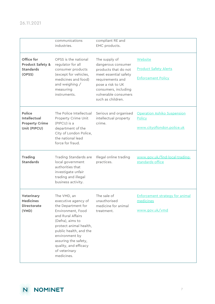|                                                                         | communications<br>industries.                                                                                                                                                                                                                                                | compliant RE and<br>EMC products.                                                                                                                                                                  |                                                                       |
|-------------------------------------------------------------------------|------------------------------------------------------------------------------------------------------------------------------------------------------------------------------------------------------------------------------------------------------------------------------|----------------------------------------------------------------------------------------------------------------------------------------------------------------------------------------------------|-----------------------------------------------------------------------|
| Office for<br><b>Product Safety &amp;</b><br><b>Standards</b><br>(OPSS) | OPSS is the national<br>regulator for all<br>consumer products<br>(except for vehicles,<br>medicines and food)<br>and weighing /<br>measuring<br>instruments.                                                                                                                | The supply of<br>dangerous consumer<br>products that do not<br>meet essential safety<br>requirements and<br>pose a risk to UK<br>consumers, including<br>vulnerable consumers<br>such as children. | Website<br><b>Product Safety Alerts</b><br><b>Enforcement Policy</b>  |
| Police<br>Intellectual<br><b>Property Crime</b><br>Unit (PIPCU)         | The Police Intellectual<br>Property Crime Unit<br>(PIPCU) is a<br>department of the<br>City of London Police,<br>the national lead<br>force for fraud.                                                                                                                       | Serious and organised<br>intellectual property<br>crime.                                                                                                                                           | Operation Ashiko Suspension<br>Policy<br>www.cityoflondon.police.uk   |
| <b>Trading</b><br><b>Standards</b>                                      | Trading Standards are<br>local government<br>authorities that<br>investigate unfair<br>trading and illegal<br>business activity.                                                                                                                                             | Illegal online trading<br>practices.                                                                                                                                                               | www.gov.uk/find-local-trading-<br>standards-office                    |
| <b>Veterinary</b><br><b>Medicines</b><br><b>Directorate</b><br>(VMD)    | The VMD, an<br>executive agency of<br>the Department for<br>Environment, Food<br>and Rural Affairs<br>(Defra), aims to<br>protect animal health,<br>public health, and the<br>environment by<br>assuring the safety,<br>quality, and efficacy<br>of veterinary<br>medicines. | The sale of<br>unauthorised<br>medicine for animal<br>treatment.                                                                                                                                   | <b>Enforcement strategy for animal</b><br>medicines<br>www.gov.uk/vmd |

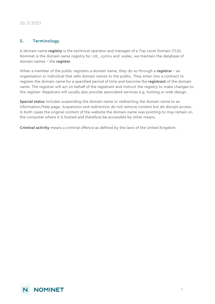### <span id="page-7-0"></span>5. Terminology

A domain name **registry** is the technical operator and manager of a Top Level Domain (TLD). Nominet is the domain name registry for .UK, .cymru and .wales, we maintain the database of domain names – the **register**.

When a member of the public registers a domain name, they do so through a **registrar** – an organisation or individual that sells domain names to the public. They enter into a contract to register the domain name for a specified period of time and become the **registrant** of the domain name. The registrar will act on behalf of the registrant and instruct the registry to make changes to the register. Registrars will usually also provide associated services e.g. hosting or web design.

**Special status** includes suspending the domain name or redirecting the domain name to an information/help page. Suspension and redirection do not remove content but do disrupt access. In both cases the original content of the website the domain name was pointing to may remain on the computer where it is hosted and therefore be accessible by other means.

**Criminal activity** means a criminal offence as defined by the laws of the United Kingdom.